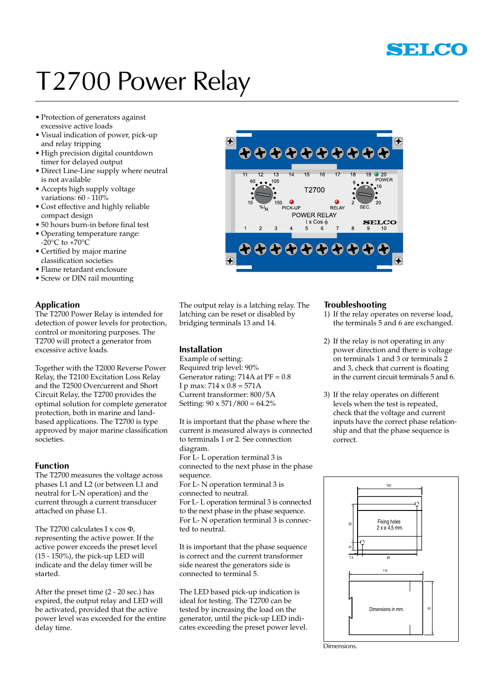

## T2700 Power Relay

- • Protection of generators against excessive active loads
- • Visual indication of power, pick-up and relay tripping
- • High precision digital countdown timer for delayed output
- • Direct Line-Line supply where neutral is not available
- • Accepts high supply voltage variations: 60 - 110%
- • Cost effective and highly reliable compact design
- • 50 hours burn-in before final test
- • Operating temperature range:  $-20^{\circ}$ C to  $+70^{\circ}$ C
- • Certified by major marine classification societies
- • Flame retardant enclosure
- Screw or DIN rail mounting

### **Application**

The T2700 Power Relay is intended for detection of power levels for protection, control or monitoring purposes. The T2700 will protect a generator from excessive active loads.

Together with the T2000 Reverse Power Relay, the T2100 Excitation Loss Relay and the T2500 Overcurrent and Short Circuit Relay, the T2700 provides the optimal solution for complete generator protection, both in marine and landbased applications. The T2700 is type approved by major marine classification societies.

### **Function**

The T2700 measures the voltage across phases L1 and L2 (or between L1 and neutral for L-N operation) and the current through a current transducer attached on phase L1.

The T2700 calculates I x cos  $\Phi$ , representing the active power. If the active power exceeds the preset level (15 - 150%), the pick-up LED will indicate and the delay timer will be started.

After the preset time (2 - 20 sec.) has expired, the output relay and LED will be activated, provided that the active power level was exceeded for the entire delay time.



The output relay is a latching relay. The latching can be reset or disabled by bridging terminals 13 and 14.

### **Installation**

Example of setting: Required trip level: 90% Generator rating:  $714A$  at  $PF = 0.8$ I p max:  $714 \times 0.8 = 571$ A Current transformer: 800/5A Setting:  $90 \times 571 / 800 = 64.2\%$ 

It is important that the phase where the current is measured always is connected to terminals 1 or 2. See connection diagram. For L- L operation terminal 3 is connected to the next phase in the phase sequence. For L- N operation terminal 3 is connected to neutral. For L- L operation terminal 3 is connected to the next phase in the phase sequence. For L- N operation terminal 3 is connec-

ted to neutral.

It is important that the phase sequence is correct and the current transformer side nearest the generators side is connected to terminal 5.

The LED based pick-up indication is ideal for testing. The T2700 can be tested by increasing the load on the generator, until the pick-up LED indicates exceeding the preset power level.

### **Troubleshooting**

- 1) If the relay operates on reverse load, the terminals 5 and 6 are exchanged.
- 2) If the relay is not operating in any power direction and there is voltage on terminals 1 and 3 or terminals  $\tilde{2}$ and 3, check that current is floating in the current circuit terminals 5 and 6.
- 3) If the relay operates on different levels when the test is repeated, check that the voltage and current inputs have the correct phase relationship and that the phase sequence is correct.



Dimensions.